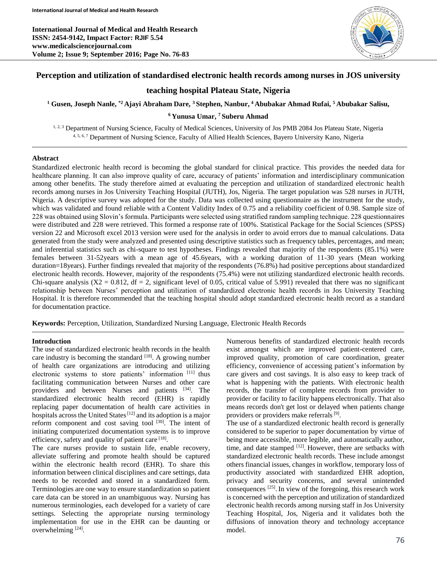**International Journal of Medical and Health Research ISSN: 2454-9142, Impact Factor: RJIF 5.54 www.medicalsciencejournal.com Volume 2; Issue 9; September 2016; Page No. 76-83**



# **Perception and utilization of standardised electronic health records among nurses in JOS university**

# **teaching hospital Plateau State, Nigeria**

**<sup>1</sup> Gusen, Joseph Nanle, \*2 Ajayi Abraham Dare, <sup>3</sup>Stephen, Nanbur, <sup>4</sup>Abubakar Ahmad Rufai, <sup>5</sup>Abubakar Salisu,**

### **<sup>6</sup>Yunusa Umar, <sup>7</sup>Suberu Ahmad**

1, 2, 3 Department of Nursing Science, Faculty of Medical Sciences, University of Jos PMB 2084 Jos Plateau State, Nigeria 4, 5, 6, 7 Department of Nursing Science, Faculty of Allied Health Sciences, Bayero University Kano, Nigeria

### **Abstract**

Standardized electronic health record is becoming the global standard for clinical practice. This provides the needed data for healthcare planning. It can also improve quality of care, accuracy of patients' information and interdisciplinary communication among other benefits. The study therefore aimed at evaluating the perception and utilization of standardized electronic health records among nurses in Jos University Teaching Hospital (JUTH), Jos, Nigeria. The target population was 528 nurses in JUTH, Nigeria. A descriptive survey was adopted for the study. Data was collected using questionnaire as the instrument for the study, which was validated and found reliable with a Content Validity Index of 0.75 and a reliability coefficient of 0.98. Sample size of 228 was obtained using Slovin's formula. Participants were selected using stratified random sampling technique. 228 questionnaires were distributed and 228 were retrieved. This formed a response rate of 100%. Statistical Package for the Social Sciences (SPSS) version 22 and Microsoft excel 2013 version were used for the analysis in order to avoid errors due to manual calculations. Data generated from the study were analyzed and presented using descriptive statistics such as frequency tables, percentages, and mean; and inferential statistics such as chi-square to test hypotheses. Findings revealed that majority of the respondents (85.1%) were females between 31-52years with a mean age of 45.6years, with a working duration of 11-30 years (Mean working duration=18years). Further findings revealed that majority of the respondents (76.8%) had positive perceptions about standardized electronic health records. However, majority of the respondents (75.4%) were not utilizing standardized electronic health records. Chi-square analysis  $(X2 = 0.812$ , df = 2, significant level of 0.05, critical value of 5.991) revealed that there was no significant relationship between Nurses' perception and utilization of standardized electronic health records in Jos University Teaching Hospital. It is therefore recommended that the teaching hospital should adopt standardized electronic health record as a standard for documentation practice.

**Keywords:** Perception, Utilization, Standardized Nursing Language, Electronic Health Records

#### **Introduction**

The use of standardized electronic health records in the health care industry is becoming the standard  $[18]$ . A growing number of health care organizations are introducing and utilizing electronic systems to store patients' information [11] thus facilitating communication between Nurses and other care providers and between Nurses and patients [34]. The standardized electronic health record (EHR) is rapidly replacing paper documentation of health care activities in hospitals across the United States<sup>[12]</sup> and its adoption is a major reform component and cost saving tool<sup>[30]</sup>. The intent of initiating computerized documentation systems is to improve efficiency, safety and quality of patient care [18].

The care nurses provide to sustain life, enable recovery, alleviate suffering and promote health should be captured within the electronic health record (EHR). To share this information between clinical disciplines and care settings, data needs to be recorded and stored in a standardized form. Terminologies are one way to ensure standardization so patient care data can be stored in an unambiguous way. Nursing has numerous terminologies, each developed for a variety of care settings. Selecting the appropriate nursing terminology implementation for use in the EHR can be daunting or overwhelming  $[24]$ .

Numerous benefits of standardized electronic health records exist amongst which are improved patient-centered care, improved quality, promotion of care coordination, greater efficiency, convenience of accessing patient's information by care givers and cost savings. It is also easy to keep track of what is happening with the patients. With electronic health records, the transfer of complete records from provider to provider or facility to facility happens electronically. That also means records don't get lost or delayed when patients change providers or providers make referrals<sup>[9]</sup>.

The use of a standardized electronic health record is generally considered to be superior to paper documentation by virtue of being more accessible, more legible, and automatically author, time, and date stamped [12]. However, there are setbacks with standardized electronic health records. These include amongst others financial issues, changes in workflow, temporary loss of productivity associated with standardized EHR adoption, privacy and security concerns, and several unintended consequences [25] . In view of the foregoing, this research work is concerned with the perception and utilization of standardized electronic health records among nursing staff in Jos University Teaching Hospital, Jos, Nigeria and it validates both the diffusions of innovation theory and technology acceptance model.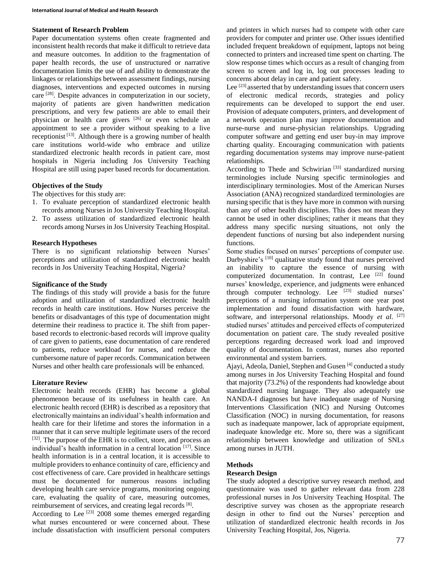# **Statement of Research Problem**

Paper documentation systems often create fragmented and inconsistent health records that make it difficult to retrieve data and measure outcomes. In addition to the fragmentation of paper health records, the use of unstructured or narrative documentation limits the use of and ability to demonstrate the linkages or relationships between assessment findings, nursing diagnoses, interventions and expected outcomes in nursing care <sup>[28]</sup>. Despite advances in computerization in our society, majority of patients are given handwritten medication prescriptions, and very few patients are able to email their physician or health care givers <sup>[26]</sup> or even schedule an appointment to see a provider without speaking to a live receptionist<sup>[13]</sup>. Although there is a growing number of health care institutions world-wide who embrace and utilize standardized electronic health records in patient care, most hospitals in Nigeria including Jos University Teaching Hospital are still using paper based records for documentation.

# **Objectives of the Study**

The objectives for this study are:

- 1. To evaluate perception of standardized electronic health records among Nurses in Jos University Teaching Hospital.
- 2. To assess utilization of standardized electronic health records among Nurses in Jos University Teaching Hospital.

### **Research Hypotheses**

There is no significant relationship between Nurses' perceptions and utilization of standardized electronic health records in Jos University Teaching Hospital, Nigeria?

### **Significance of the Study**

The findings of this study will provide a basis for the future adoption and utilization of standardized electronic health records in health care institutions. How Nurses perceive the benefits or disadvantages of this type of documentation might determine their readiness to practice it. The shift from paperbased records to electronic-based records will improve quality of care given to patients, ease documentation of care rendered to patients, reduce workload for nurses, and reduce the cumbersome nature of paper records. Communication between Nurses and other health care professionals will be enhanced.

# **Literature Review**

Electronic health records (EHR) has become a global phenomenon because of its usefulness in health care. An electronic health record (EHR) is described as a repository that electronically maintains an individual's health information and health care for their lifetime and stores the information in a manner that it can serve multiple legitimate users of the record [32]. The purpose of the EHR is to collect, store, and process an individual's health information in a central location [17]. Since health information is in a central location, it is accessible to multiple providers to enhance continuity of care, efficiency and cost effectiveness of care. Care provided in healthcare settings must be documented for numerous reasons including developing health care service programs, monitoring ongoing care, evaluating the quality of care, measuring outcomes, reimbursement of services, and creating legal records [8].

According to Lee  $^{[23]}$  2008 some themes emerged regarding what nurses encountered or were concerned about. These include dissatisfaction with insufficient personal computers and printers in which nurses had to compete with other care providers for computer and printer use. Other issues identified included frequent breakdown of equipment, laptops not being connected to printers and increased time spent on charting. The slow response times which occurs as a result of changing from screen to screen and log in, log out processes leading to concerns about delay in care and patient safety.

Lee [23] asserted that by understanding issues that concern users of electronic medical records, strategies and policy requirements can be developed to support the end user. Provision of adequate computers, printers, and development of a network operation plan may improve documentation and nurse-nurse and nurse-physician relationships. Upgrading computer software and getting end user buy-in may improve charting quality. Encouraging communication with patients regarding documentation systems may improve nurse-patient relationships.

According to Thede and Schwirian<sup>[33]</sup> standardized nursing terminologies include Nursing specific terminologies and interdisciplinary terminologies. Most of the American Nurses Association (ANA) recognized standardized terminologies are nursing specific that is they have more in common with nursing than any of other health disciplines. This does not mean they cannot be used in other disciplines; rather it means that they address many specific nursing situations, not only the dependent functions of nursing but also independent nursing functions.

Some studies focused on nurses' perceptions of computer use. Darbyshire's [10] qualitative study found that nurses perceived an inability to capture the essence of nursing with computerized documentation. In contrast, Lee [22] found nurses' knowledge, experience, and judgments were enhanced through computer technology. Lee [23] studied nurses' perceptions of a nursing information system one year post implementation and found dissatisfaction with hardware, software, and interpersonal relationships. Moody *et al*. [27] studied nurses' attitudes and perceived effects of computerized documentation on patient care. The study revealed positive perceptions regarding decreased work load and improved quality of documentation. In contrast, nurses also reported environmental and system barriers.

Ajayi, Adeola, Daniel, Stephen and Gusen [4] conducted a study among nurses in Jos University Teaching Hospital and found that majority (73.2%) of the respondents had knowledge about standardized nursing language. They also adequately use NANDA-I diagnoses but have inadequate usage of Nursing Interventions Classification (NIC) and Nursing Outcomes Classification (NOC) in nursing documentation, for reasons such as inadequate manpower, lack of appropriate equipment, inadequate knowledge etc. More so, there was a significant relationship between knowledge and utilization of SNLs among nurses in JUTH.

# **Methods**

# **Research Design**

The study adopted a descriptive survey research method, and questionnaire was used to gather relevant data from 228 professional nurses in Jos University Teaching Hospital. The descriptive survey was chosen as the appropriate research design in other to find out the Nurses' perception and utilization of standardized electronic health records in Jos University Teaching Hospital, Jos, Nigeria.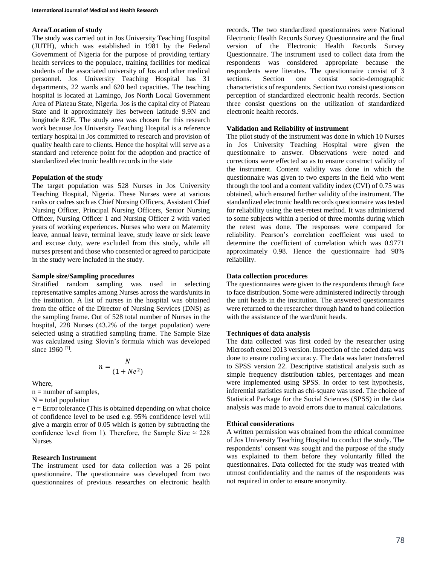### **Area/Location of study**

The study was carried out in Jos University Teaching Hospital (JUTH), which was established in 1981 by the Federal Government of Nigeria for the purpose of providing tertiary health services to the populace, training facilities for medical students of the associated university of Jos and other medical personnel. Jos University Teaching Hospital has 31 departments, 22 wards and 620 bed capacities. The teaching hospital is located at Lamingo, Jos North Local Government Area of Plateau State, Nigeria. Jos is the capital city of Plateau State and it approximately lies between latitude 9.9N and longitude 8.9E. The study area was chosen for this research work because Jos University Teaching Hospital is a reference tertiary hospital in Jos committed to research and provision of quality health care to clients. Hence the hospital will serve as a standard and reference point for the adoption and practice of standardized electronic health records in the state

### **Population of the study**

The target population was 528 Nurses in Jos University Teaching Hospital, Nigeria. These Nurses were at various ranks or cadres such as Chief Nursing Officers, Assistant Chief Nursing Officer, Principal Nursing Officers, Senior Nursing Officer, Nursing Officer 1 and Nursing Officer 2 with varied years of working experiences. Nurses who were on Maternity leave, annual leave, terminal leave, study leave or sick leave and excuse duty, were excluded from this study, while all nurses present and those who consented or agreed to participate in the study were included in the study.

### **Sample size/Sampling procedures**

Stratified random sampling was used in selecting representative samples among Nurses across the wards/units in the institution. A list of nurses in the hospital was obtained from the office of the Director of Nursing Services (DNS) as the sampling frame. Out of 528 total number of Nurses in the hospital, 228 Nurses (43.2% of the target population) were selected using a stratified sampling frame. The Sample Size was calculated using Slovin's formula which was developed since 1960<sup>[7]</sup>.

$$
n = \frac{N}{(1 + Ne^2)}
$$

Where,

 $n =$  number of samples,

 $N =$  total population

e = Error tolerance (This is obtained depending on what choice of confidence level to be used e.g. 95% confidence level will give a margin error of 0.05 which is gotten by subtracting the confidence level from 1). Therefore, the Sample Size  $\approx 228$ Nurses

# **Research Instrument**

The instrument used for data collection was a 26 point questionnaire. The questionnaire was developed from two questionnaires of previous researches on electronic health records. The two standardized questionnaires were National Electronic Health Records Survey Questionnaire and the final version of the Electronic Health Records Survey Questionnaire. The instrument used to collect data from the respondents was considered appropriate because the respondents were literates. The questionnaire consist of 3 sections. Section one consist socio-demographic characteristics of respondents. Section two consist questions on perception of standardized electronic health records. Section three consist questions on the utilization of standardized electronic health records.

### **Validation and Reliability of instrument**

The pilot study of the instrument was done in which 10 Nurses in Jos University Teaching Hospital were given the questionnaire to answer. Observations were noted and corrections were effected so as to ensure construct validity of the instrument. Content validity was done in which the questionnaire was given to two experts in the field who went through the tool and a content validity index (CVI) of 0.75 was obtained, which ensured further validity of the instrument. The standardized electronic health records questionnaire was tested for reliability using the test-retest method. It was administered to some subjects within a period of three months during which the retest was done. The responses were compared for reliability. Pearson's correlation coefficient was used to determine the coefficient of correlation which was 0.9771 approximately 0.98. Hence the questionnaire had 98% reliability.

# **Data collection procedures**

The questionnaires were given to the respondents through face to face distribution. Some were administered indirectly through the unit heads in the institution. The answered questionnaires were returned to the researcher through hand to hand collection with the assistance of the ward/unit heads.

# **Techniques of data analysis**

The data collected was first coded by the researcher using Microsoft excel 2013 version. Inspection of the coded data was done to ensure coding accuracy. The data was later transferred to SPSS version 22. Descriptive statistical analysis such as simple frequency distribution tables, percentages and mean were implemented using SPSS. In order to test hypothesis, inferential statistics such as chi-square was used. The choice of Statistical Package for the Social Sciences (SPSS) in the data analysis was made to avoid errors due to manual calculations.

#### **Ethical considerations**

A written permission was obtained from the ethical committee of Jos University Teaching Hospital to conduct the study. The respondents' consent was sought and the purpose of the study was explained to them before they voluntarily filled the questionnaires. Data collected for the study was treated with utmost confidentiality and the names of the respondents was not required in order to ensure anonymity.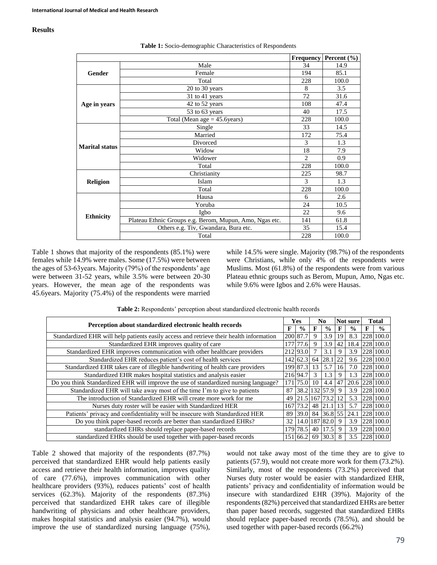# **Results**

|                       |                                                         | Frequency      | <b>Percent</b> $(\% )$ |
|-----------------------|---------------------------------------------------------|----------------|------------------------|
|                       | Male                                                    | 34             | 14.9                   |
| <b>Gender</b>         | Female                                                  | 194            | 85.1                   |
|                       | Total                                                   | 228            | 100.0                  |
|                       | 20 to 30 years                                          | 8              | 3.5                    |
| Age in years          | 31 to 41 years                                          | 72             | 31.6                   |
|                       | 42 to 52 years                                          | 108            | 47.4                   |
|                       | 53 to 63 years                                          | 40             | 17.5                   |
|                       | Total (Mean age $=$ 45.6 years)                         | 228            | 100.0                  |
|                       | Single                                                  | 33             | 14.5                   |
| <b>Marital status</b> | Married                                                 | 172            | 75.4                   |
|                       | Divorced                                                | 3              | 1.3                    |
|                       | Widow                                                   | 18             | 7.9                    |
|                       | Widower                                                 | $\overline{c}$ | 0.9                    |
|                       | Total                                                   | 228            | 100.0                  |
|                       | Christianity                                            | 225            | 98.7                   |
| <b>Religion</b>       | Islam                                                   | 3              | 1.3                    |
|                       | Total                                                   | 228            | 100.0                  |
|                       | Hausa                                                   | 6              | 2.6                    |
| <b>Ethnicity</b>      | Yoruba                                                  | 24             | 10.5                   |
|                       | Igbo                                                    | 22             | 9.6                    |
|                       | Plateau Ethnic Groups e.g. Berom, Mupun, Amo, Ngas etc. | 141            | 61.8                   |
|                       | Others e.g. Tiv, Gwandara, Bura etc.                    | 35             | 15.4                   |
|                       | Total                                                   | 228            | 100.0                  |

**Table 1:** Socio-demographic Characteristics of Respondents

Table 1 shows that majority of the respondents (85.1%) were females while 14.9% were males. Some (17.5%) were between the ages of 53-63years. Majority (79%) of the respondents' age were between 31-52 years, while 3.5% were between 20-30 years. However, the mean age of the respondents was 45.6years. Majority (75.4%) of the respondents were married

while 14.5% were single. Majority (98.7%) of the respondents were Christians, while only 4% of the respondents were Muslims. Most (61.8%) of the respondents were from various Plateau ethnic groups such as Berom, Mupun, Amo, Ngas etc. while 9.6% were Igbos and 2.6% were Hausas.

**Table 2:** Respondents' perception about standardized electronic health records

| Perception about standardized electronic health records                                     |     | Yes           |    | No.           |    | Not sure      |   | <b>Total</b>  |  |
|---------------------------------------------------------------------------------------------|-----|---------------|----|---------------|----|---------------|---|---------------|--|
|                                                                                             |     | $\frac{0}{0}$ | F  | $\frac{0}{0}$ | F  | $\frac{6}{9}$ | F | $\frac{0}{0}$ |  |
| Standardized EHR will help patients easily access and retrieve their health information     |     | 200 87.7      | 9  | 3.9           | 19 | 8.3           |   | 228 100.0     |  |
| Standardized EHR improves quality of care<br>177                                            |     |               |    | 3.9           | 42 | 18.4          |   | 228 100.0     |  |
| Standardized EHR improves communication with other healthcare providers<br>212 93.0         |     |               |    | 3.1           | 9  | 3.9           |   | 228 100.0     |  |
| Standardized EHR reduces patient's cost of health services<br>142 62.3                      |     |               |    | 28.1          | 22 | 9.6           |   | 228 100.0     |  |
| Standardized EHR takes care of illegible handwriting of health care providers<br>199 87.3   |     |               |    | 5.7           | 16 | 7.0           |   | 228 100.0     |  |
| Standardized EHR makes hospital statistics and analysis easier                              |     | 216 94.7      | 3  | 1.3           | 9  | 1.3           |   | 228 100.0     |  |
| Do you think Standardized EHR will improve the use of standardized nursing language?<br>171 |     | 75.0          | 10 | 4.4           | 47 | 20.6          |   | 228 100.0     |  |
| Standardized EHR will take away most of the time I'm to give to patients                    | 87  | 38.2 132 57.9 |    |               | 9  | 3.9           |   | 228 100.0     |  |
| The introduction of Standardized EHR will create more work for me                           | 49  | 21.5 167      |    | 73.2          |    | 5.3           |   | 228 100.0     |  |
| Nurses duty roster will be easier with Standardized HER                                     | 167 | 73.2          | 48 | 21.1          | 13 | 5.7           |   | 228 100.0     |  |
| Patients' privacy and confidentiality will be insecure with Standardized HER                |     | 39.0 84       |    | $36.8$ 55     |    | 24.1          |   | 228 100.0     |  |
| Do you think paper-based records are better than standardized EHRs?                         | 32  |               |    | 14.0 187 82.0 | 9  | 3.9           |   | 228 100.0     |  |
| standardized EHRs should replace paper-based records                                        |     | 179 78.5      | 40 | 17.5          | 9  | 3.9           |   | 228 100.0     |  |
| standardized EHRs should be used together with paper-based records                          |     | 151 66.2      | 69 | 30.3          | 8  | 3.5           |   | 228 100.0     |  |

Table 2 showed that majority of the respondents (87.7%) perceived that standardized EHR would help patients easily access and retrieve their health information, improves quality of care (77.6%), improves communication with other healthcare providers (93%), reduces patients' cost of health services (62.3%). Majority of the respondents (87.3%) perceived that standardized EHR takes care of illegible handwriting of physicians and other healthcare providers, makes hospital statistics and analysis easier (94.7%), would improve the use of standardized nursing language (75%), would not take away most of the time they are to give to patients (57.9), would not create more work for them (73.2%). Similarly, most of the respondents (73.2%) perceived that Nurses duty roster would be easier with standardized EHR, patients' privacy and confidentiality of information would be insecure with standardized EHR (39%). Majority of the respondents (82%) perceived that standardized EHRs are better than paper based records, suggested that standardized EHRs should replace paper-based records (78.5%), and should be used together with paper-based records (66.2%)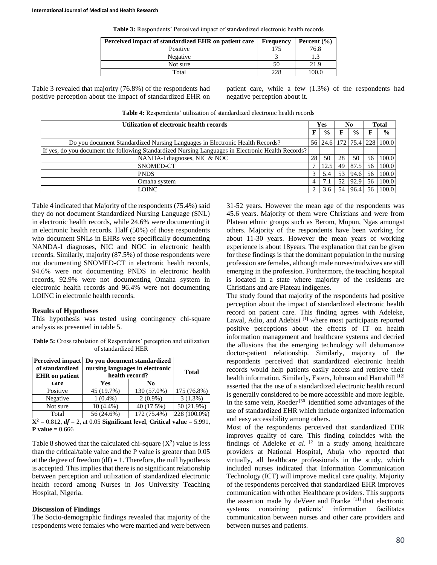**Table 3:** Respondents' Perceived impact of standardized electronic health records

| Perceived impact of standardized EHR on patient care | Frequency | Percent $(\% )$ |
|------------------------------------------------------|-----------|-----------------|
| Positive                                             | 175       | 76.8            |
| Negative                                             |           |                 |
| Not sure                                             | 50        | 21.9            |
| Total                                                | 228       | 00.0            |

Table 3 revealed that majority (76.8%) of the respondents had positive perception about the impact of standardized EHR on patient care, while a few (1.3%) of the respondents had negative perception about it.

**Table 4:** Respondents' utilization of standardized electronic health records

| Utilization of electronic health records                                                           |    |               | No |               | <b>Total</b> |                            |
|----------------------------------------------------------------------------------------------------|----|---------------|----|---------------|--------------|----------------------------|
|                                                                                                    | F  | $\frac{6}{9}$ |    | $\frac{0}{0}$ |              | $\frac{0}{0}$              |
| Do you document Standardized Nursing Languages in Electronic Health Records?                       |    |               |    |               |              | 56 24.6 172 75.4 228 100.0 |
| If yes, do you document the following Standardized Nursing Languages in Electronic Health Records? |    |               |    |               |              |                            |
| NANDA-I diagnoses, NIC & NOC                                                                       | 28 | 50            | 28 | 50            | 56           | 100.0                      |
| SNOMED-CT                                                                                          |    | 12.5          | 49 | 87.5          | 56           | 100.0                      |
| <b>PNDS</b>                                                                                        |    | 5.4           | 53 | 94.6          | .56          | 100.0                      |
| Omaha system                                                                                       | 4  |               | 52 | 92.9          | 56           | 100.0                      |
| LOINC                                                                                              |    | 3.6           | 54 | 96.4          | 56           | 100.0                      |

Table 4 indicated that Majority of the respondents (75.4%) said they do not document Standardized Nursing Language (SNL) in electronic health records, while 24.6% were documenting it in electronic health records. Half (50%) of those respondents who document SNLs in EHRs were specifically documenting NANDA-I diagnoses, NIC and NOC in electronic health records. Similarly, majority (87.5%) of those respondents were not documenting SNOMED-CT in electronic health records, 94.6% were not documenting PNDS in electronic health records, 92.9% were not documenting Omaha system in electronic health records and 96.4% were not documenting LOINC in electronic health records.

# **Results of Hypotheses**

This hypothesis was tested using contingency chi-square analysis as presented in table 5.

**Table 5:** Cross tabulation of Respondents' perception and utilization of standardized HER

| <b>Perceived impact</b><br>of standardized<br><b>EHR</b> on patient           | health record? | Do you document standardized<br>nursing languages in electronic | <b>Total</b> |  |  |  |
|-------------------------------------------------------------------------------|----------------|-----------------------------------------------------------------|--------------|--|--|--|
| care                                                                          | Yes            | N <sub>0</sub>                                                  |              |  |  |  |
| Positive                                                                      | 45 (19.7%)     | 130 (57.0%)                                                     | 175 (76.8%)  |  |  |  |
| Negative                                                                      | $1(0.4\%)$     | $2(0.9\%)$                                                      | $3(1.3\%)$   |  |  |  |
| Not sure                                                                      | $10(4.4\%)$    | 40 (17.5%)                                                      | 50 (21.9%)   |  |  |  |
| Total                                                                         | 56 (24.6%)     | 172 (75.4%)                                                     | 228 (100.0%) |  |  |  |
| $X^2 = 0.812$ , $df = 2$ , at 0.05 Significant level. Critical value = 5.991. |                |                                                                 |              |  |  |  |

**P** value =  $0.666$ 

Table 8 showed that the calculated chi-square  $(X^2)$  value is less than the critical/table value and the P value is greater than 0.05 at the degree of freedom  $(df) = 1$ . Therefore, the null hypothesis is accepted. This implies that there is no significant relationship between perception and utilization of standardized electronic health record among Nurses in Jos University Teaching Hospital, Nigeria.

# **Discussion of Findings**

The Socio-demographic findings revealed that majority of the respondents were females who were married and were between 31-52 years. However the mean age of the respondents was 45.6 years. Majority of them were Christians and were from Plateau ethnic groups such as Berom, Mupun, Ngas amongst others. Majority of the respondents have been working for about 11-30 years. However the mean years of working experience is about 18years. The explanation that can be given for these findings is that the dominant population in the nursing profession are females, although male nurses/midwives are still emerging in the profession. Furthermore, the teaching hospital is located in a state where majority of the residents are Christians and are Plateau indigenes.

The study found that majority of the respondents had positive perception about the impact of standardized electronic health record on patient care. This finding agrees with Adeleke, Lawal, Adio, and Adebisi<sup>[1]</sup> where most participants reported positive perceptions about the effects of IT on health information management and healthcare systems and decried the allusions that the emerging technology will dehumanize doctor-patient relationship. Similarly, majority of the respondents perceived that standardized electronic health records would help patients easily access and retrieve their health information. Similarly, Esters, Johnson and Harrahill<sup>[12]</sup> asserted that the use of a standardized electronic health record is generally considered to be more accessible and more legible. In the same vein, Roeder<sup>[30]</sup> identified some advantages of the use of standardized EHR which include organized information and easy accessibility among others.

Most of the respondents perceived that standardized EHR improves quality of care. This finding coincides with the findings of Adeleke *et al*. [2] in a study among healthcare providers at National Hospital, Abuja who reported that virtually, all healthcare professionals in the study, which included nurses indicated that Information Communication Technology (ICT) will improve medical care quality. Majority of the respondents perceived that standardized EHR improves communication with other Healthcare providers. This supports the assertion made by deVeer and Franke [11] that electronic systems containing patients' information facilitates communication between nurses and other care providers and between nurses and patients.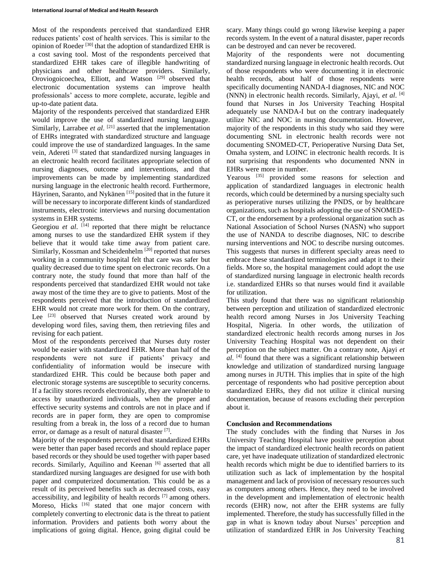Most of the respondents perceived that standardized EHR reduces patients' cost of health services. This is similar to the opinion of Roeder<sup>[30]</sup> that the adoption of standardized EHR is a cost saving tool. Most of the respondents perceived that standardized EHR takes care of illegible handwriting of physicians and other healthcare providers. Similarly, Oroviogoicoechea, Elliott, and Watson [29] observed that electronic documentation systems can improve health professionals' access to more complete, accurate, legible and up-to-date patient data.

Majority of the respondents perceived that standardized EHR would improve the use of standardized nursing language. Similarly, Larrabee *et al.* <sup>[21]</sup> asserted that the implementation of EHRs integrated with standardized structure and language could improve the use of standardized languages. In the same vein, Adereti [3] stated that standardized nursing languages in an electronic health record facilitates appropriate selection of nursing diagnoses, outcome and interventions, and that improvements can be made by implementing standardized nursing language in the electronic health record. Furthermore, Häyrinen, Saranto, and Nykänen<sup>[15]</sup> posited that in the future it will be necessary to incorporate different kinds of standardized instruments, electronic interviews and nursing documentation systems in EHR systems.

Georgiou et al. <sup>[14]</sup> reported that there might be reluctance among nurses to use the standardized EHR system if they believe that it would take time away from patient care. Similarly, Kossman and Scheidenhelm<sup>[20]</sup> reported that nurses working in a community hospital felt that care was safer but quality decreased due to time spent on electronic records. On a contrary note, the study found that more than half of the respondents perceived that standardized EHR would not take away most of the time they are to give to patients. Most of the respondents perceived that the introduction of standardized EHR would not create more work for them. On the contrary, Lee <sup>[23]</sup> observed that Nurses created work around by developing word files, saving them, then retrieving files and revising for each patient.

Most of the respondents perceived that Nurses duty roster would be easier with standardized EHR. More than half of the respondents were not sure if patients' privacy and confidentiality of information would be insecure with standardized EHR. This could be because both paper and electronic storage systems are susceptible to security concerns. If a facility stores records electronically, they are vulnerable to access by unauthorized individuals, when the proper and effective security systems and controls are not in place and if records are in paper form, they are open to compromise resulting from a break in, the loss of a record due to human error, or damage as a result of natural disaster [7].

Majority of the respondents perceived that standardized EHRs were better than paper based records and should replace paper based records or they should be used together with paper based records. Similarly, Aquilino and Keenan [6] asserted that all standardized nursing languages are designed for use with both paper and computerized documentation. This could be as a result of its perceived benefits such as decreased costs, easy accessibility, and legibility of health records [7] among others. Moreso, Hicks<sup>[16]</sup> stated that one major concern with completely converting to electronic data is the threat to patient information. Providers and patients both worry about the implications of going digital. Hence, going digital could be scary. Many things could go wrong likewise keeping a paper records system. In the event of a natural disaster, paper records can be destroyed and can never be recovered.

Majority of the respondents were not documenting standardized nursing language in electronic health records. Out of those respondents who were documenting it in electronic health records, about half of those respondents were specifically documenting NANDA-I diagnoses, NIC and NOC (NNN) in electronic health records. Similarly, Ajayi, *et al*. [4] found that Nurses in Jos University Teaching Hospital adequately use NANDA-I but on the contrary inadequately utilize NIC and NOC in nursing documentation. However, majority of the respondents in this study who said they were documenting SNL in electronic health records were not documenting SNOMED-CT, Perioperative Nursing Data Set, Omaha system, and LOINC in electronic health records. It is not surprising that respondents who documented NNN in EHRs were more in number.

Yearous <a>[35]</a> provided some reasons for selection and application of standardized languages in electronic health records, which could be determined by a nursing specialty such as perioperative nurses utilizing the PNDS, or by healthcare organizations, such as hospitals adopting the use of SNOMED-CT, or the endorsement by a professional organization such as National Association of School Nurses (NASN) who support the use of NANDA to describe diagnoses, NIC to describe nursing interventions and NOC to describe nursing outcomes. This suggests that nurses in different specialty areas need to embrace these standardized terminologies and adapt it to their fields. More so, the hospital management could adopt the use of standardized nursing language in electronic health records i.e. standardized EHRs so that nurses would find it available for utilization.

This study found that there was no significant relationship between perception and utilization of standardized electronic health record among Nurses in Jos University Teaching Hospital, Nigeria. In other words, the utilization of standardized electronic health records among nurses in Jos University Teaching Hospital was not dependent on their perception on the subject matter. On a contrary note, Ajayi *et al*. [4] found that there was a significant relationship between knowledge and utilization of standardized nursing language among nurses in JUTH. This implies that in spite of the high percentage of respondents who had positive perception about standardized EHRs, they did not utilize it clinical nursing documentation, because of reasons excluding their perception about it.

# **Conclusion and Recommendations**

The study concludes with the finding that Nurses in Jos University Teaching Hospital have positive perception about the impact of standardized electronic health records on patient care, yet have inadequate utilization of standardized electronic health records which might be due to identified barriers to its utilization such as lack of implementation by the hospital management and lack of provision of necessary resources such as computers among others. Hence, they need to be involved in the development and implementation of electronic health records (EHR) now, not after the EHR systems are fully implemented. Therefore, the study has successfully filled in the gap in what is known today about Nurses' perception and utilization of standardized EHR in Jos University Teaching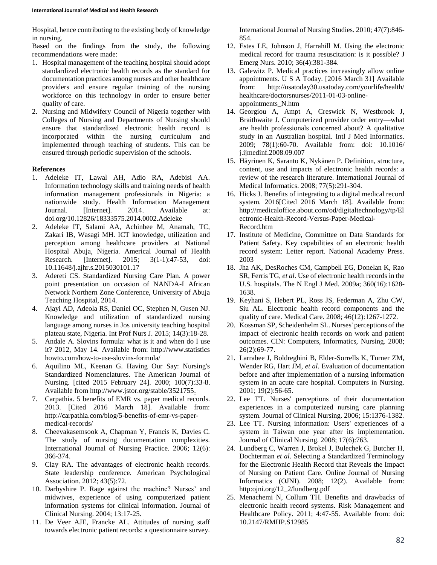Hospital, hence contributing to the existing body of knowledge in nursing.

Based on the findings from the study, the following recommendations were made:

- 1. Hospital management of the teaching hospital should adopt standardized electronic health records as the standard for documentation practices among nurses and other healthcare providers and ensure regular training of the nursing workforce on this technology in order to ensure better quality of care.
- 2. Nursing and Midwifery Council of Nigeria together with Colleges of Nursing and Departments of Nursing should ensure that standardized electronic health record is incorporated within the nursing curriculum and implemented through teaching of students. This can be ensured through periodic supervision of the schools.

#### **References**

- 1. Adeleke IT, Lawal AH, Adio RA, Adebisi AA. Information technology skills and training needs of health information management professionals in Nigeria: a nationwide study. Health Information Management Journal. [Internet]. 2014. Available at: doi.org/10.12826/18333575.2014.0002.Adeleke
- 2. Adeleke IT, Salami AA, Achinbee M, Anamah, TC, Zakari IB, Wasagi MH. ICT knowledge, utilization and perception among healthcare providers at National Hospital Abuja, Nigeria. Americal Journal of Health Research. [Internet]. 2015; 3(1-1):47-53, doi: 10.11648/j.ajhr.s.2015030101.17
- 3. Adereti CS. Standardized Nursing Care Plan. A power point presentation on occasion of NANDA-I African Network Northern Zone Conference, University of Abuja Teaching Hospital, 2014.
- 4. Ajayi AD, Adeola RS, Daniel OC, Stephen N, Gusen NJ. Knowledge and utilization of standardized nursing language among nurses in Jos university teaching hospital plateau state, Nigeria. Int Prof Nurs J. 2015; 14(3):18-28.
- 5. Andale A. Slovins formula: what is it and when do I use it? 2012, May 14. Available from: http://www.statistics howto.com/how-to-use-slovins-formula/
- 6. Aquilino ML, Keenan G. Having Our Say: Nursing's Standardized Nomenclatures. The American Journal of Nursing. [cited 2015 February 24]. 2000; 100(7):33-8. Available from http://www.jstor.org/stable/3521755.
- 7. Carpathia. 5 benefits of EMR vs. paper medical records. 2013. [Cited 2016 March 18]. Available from: http://carpathia.com/blog/5-benefits-of-emr-vs-papermedical-records/
- 8. Cheevakasemsook A, Chapman Y, Francis K, Davies C. The study of nursing documentation complexities. International Journal of Nursing Practice. 2006; 12(6): 366-374.
- 9. Clay RA. The advantages of electronic health records. State leadership conference. American Psychological Association. 2012; 43(5):72.
- 10. Darbyshire P. Rage against the machine? Nurses' and midwives, experience of using computerized patient information systems for clinical information. Journal of Clinical Nursing. 2004; 13:17-25.
- 11. De Veer AJE, Francke AL. Attitudes of nursing staff towards electronic patient records: a questionnaire survey.

International Journal of Nursing Studies. 2010; 47(7):846- 854.

- 12. Estes LE, Johnson J, Harrahill M. Using the electronic medical record for trauma resuscitation: is it possible? J Emerg Nurs. 2010; 36(4):381-384.
- 13. Galewitz P. Medical practices increasingly allow online appointments. U S A Today. [2016 March 31] Available from: http://usatoday30.usatoday.com/yourlife/health/ healthcare/doctorsnurses/2011-01-03-onlineappointments\_N.htm
- 14. Georgiou A, Ampt A, Creswick N, Westbrook J, Braithwaite J. Computerized provider order entry—what are health professionals concerned about? A qualitative study in an Australian hospital. Intl J Med Informatics. 2009; 78(1):60-70. Available from: doi: 10.1016/ j.ijmedinf.2008.09.007
- 15. Häyrinen K, Saranto K, Nykänen P. Definition, structure, content, use and impacts of electronic health records: a review of the research literature. International Journal of Medical Informatics. 2008; 77(5):291-304.
- 16. Hicks J. Benefits of integrating to a digital medical record system. 2016[Cited 2016 March 18]. Available from: http://medicaloffice.about.com/od/digitaltechnology/tp/El ectronic-Health-Record-Versus-Paper-Medical-Record.htm
- 17. Institute of Medicine, Committee on Data Standards for Patient Safety. Key capabilities of an electronic health record system: Letter report. National Academy Press. 2003
- 18. Jha AK, DesRoches CM, Campbell EG, Donelan K, Rao SR, Ferris TG, *et al*. Use of electronic health records in the U.S. hospitals. The N Engl J Med. 2009a; 360(16):1628- 1638.
- 19. Keyhani S, Hebert PL, Ross JS, Federman A, Zhu CW, Siu AL. Electronic health record components and the quality of care. Medical Care. 2008; 46(12):1267-1272.
- 20. Kossman SP, Scheidenhelm SL. Nurses' perceptions of the impact of electronic health records on work and patient outcomes. CIN: Computers, Informatics, Nursing. 2008; 26(2):69-77.
- 21. Larrabee J, Boldreghini B, Elder-Sorrells K, Turner ZM, Wender RG, Hart JM, *et al*. Evaluation of documentation before and after implementation of a nursing information system in an acute care hospital. Computers in Nursing. 2001; 19(2):56-65.
- 22. Lee TT. Nurses' perceptions of their documentation experiences in a computerized nursing care planning system. Journal of Clinical Nursing. 2006; 15:1376-1382.
- 23. Lee TT. Nursing information: Users' experiences of a system in Taiwan one year after its implementation. Journal of Clinical Nursing. 2008; 17(6):763.
- 24. Lundberg C, Warren J, Brokel J, Bulechek G, Butcher H, Dochterman *et al*. Selecting a Standardized Terminology for the Electronic Health Record that Reveals the Impact of Nursing on Patient Care. Online Journal of Nursing Informatics (OJNI). 2008; 12(2). Available from: http:ojni.org/12\_2/lundberg.pdf
- 25. Menachemi N, Collum TH. Benefits and drawbacks of electronic health record systems. Risk Management and Healthcare Policy. 2011; 4:47-55. Available from: doi: 10.2147/RMHP.S12985